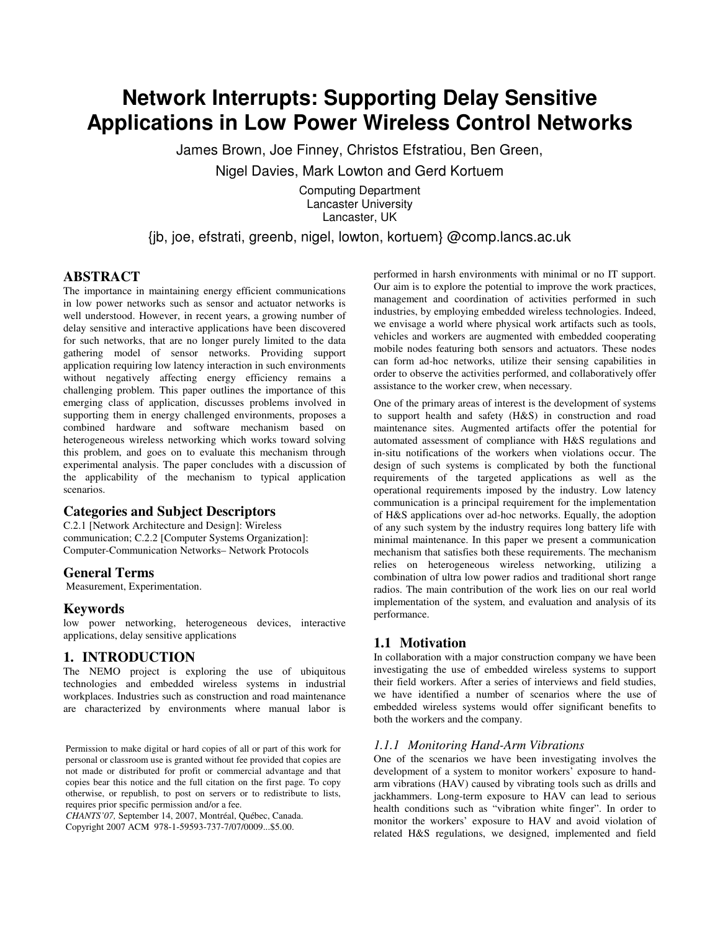# **Network Interrupts: Supporting Delay Sensitive Applications in Low Power Wireless Control Networks**

James Brown, Joe Finney, Christos Efstratiou, Ben Green,

Nigel Davies, Mark Lowton and Gerd Kortuem

Computing Department Lancaster University Lancaster, UK

## {jb, joe, efstrati, greenb, nigel, lowton, kortuem} @comp.lancs.ac.uk

#### **ABSTRACT**

The importance in maintaining energy efficient communications in low power networks such as sensor and actuator networks is well understood. However, in recent years, a growing number of delay sensitive and interactive applications have been discovered for such networks, that are no longer purely limited to the data gathering model of sensor networks. Providing support application requiring low latency interaction in such environments without negatively affecting energy efficiency remains a challenging problem. This paper outlines the importance of this emerging class of application, discusses problems involved in supporting them in energy challenged environments, proposes a combined hardware and software mechanism based on heterogeneous wireless networking which works toward solving this problem, and goes on to evaluate this mechanism through experimental analysis. The paper concludes with a discussion of the applicability of the mechanism to typical application scenarios.

## **Categories and Subject Descriptors**

C.2.1 [Network Architecture and Design]: Wireless communication; C.2.2 [Computer Systems Organization]: Computer-Communication Networks– Network Protocols

#### **General Terms**

Measurement, Experimentation.

## **Keywords**

low power networking, heterogeneous devices, interactive applications, delay sensitive applications

## **1. INTRODUCTION**

The NEMO project is exploring the use of ubiquitous technologies and embedded wireless systems in industrial workplaces. Industries such as construction and road maintenance are characterized by environments where manual labor is

Permission to make digital or hard copies of all or part of this work for personal or classroom use is granted without fee provided that copies are not made or distributed for profit or commercial advantage and that copies bear this notice and the full citation on the first page. To copy otherwise, or republish, to post on servers or to redistribute to lists, requires prior specific permission and/or a fee.

*CHANTS'07,* September 14, 2007, Montréal, Québec, Canada. Copyright 2007 ACM 978-1-59593-737-7/07/0009...\$5.00.

performed in harsh environments with minimal or no IT support. Our aim is to explore the potential to improve the work practices, management and coordination of activities performed in such industries, by employing embedded wireless technologies. Indeed, we envisage a world where physical work artifacts such as tools, vehicles and workers are augmented with embedded cooperating mobile nodes featuring both sensors and actuators. These nodes can form ad-hoc networks, utilize their sensing capabilities in order to observe the activities performed, and collaboratively offer assistance to the worker crew, when necessary.

One of the primary areas of interest is the development of systems to support health and safety (H&S) in construction and road maintenance sites. Augmented artifacts offer the potential for automated assessment of compliance with H&S regulations and in-situ notifications of the workers when violations occur. The design of such systems is complicated by both the functional requirements of the targeted applications as well as the operational requirements imposed by the industry. Low latency communication is a principal requirement for the implementation of H&S applications over ad-hoc networks. Equally, the adoption of any such system by the industry requires long battery life with minimal maintenance. In this paper we present a communication mechanism that satisfies both these requirements. The mechanism relies on heterogeneous wireless networking, utilizing a combination of ultra low power radios and traditional short range radios. The main contribution of the work lies on our real world implementation of the system, and evaluation and analysis of its performance.

## **1.1 Motivation**

In collaboration with a major construction company we have been investigating the use of embedded wireless systems to support their field workers. After a series of interviews and field studies, we have identified a number of scenarios where the use of embedded wireless systems would offer significant benefits to both the workers and the company.

#### *1.1.1 Monitoring Hand-Arm Vibrations*

One of the scenarios we have been investigating involves the development of a system to monitor workers' exposure to handarm vibrations (HAV) caused by vibrating tools such as drills and jackhammers. Long-term exposure to HAV can lead to serious health conditions such as "vibration white finger". In order to monitor the workers' exposure to HAV and avoid violation of related H&S regulations, we designed, implemented and field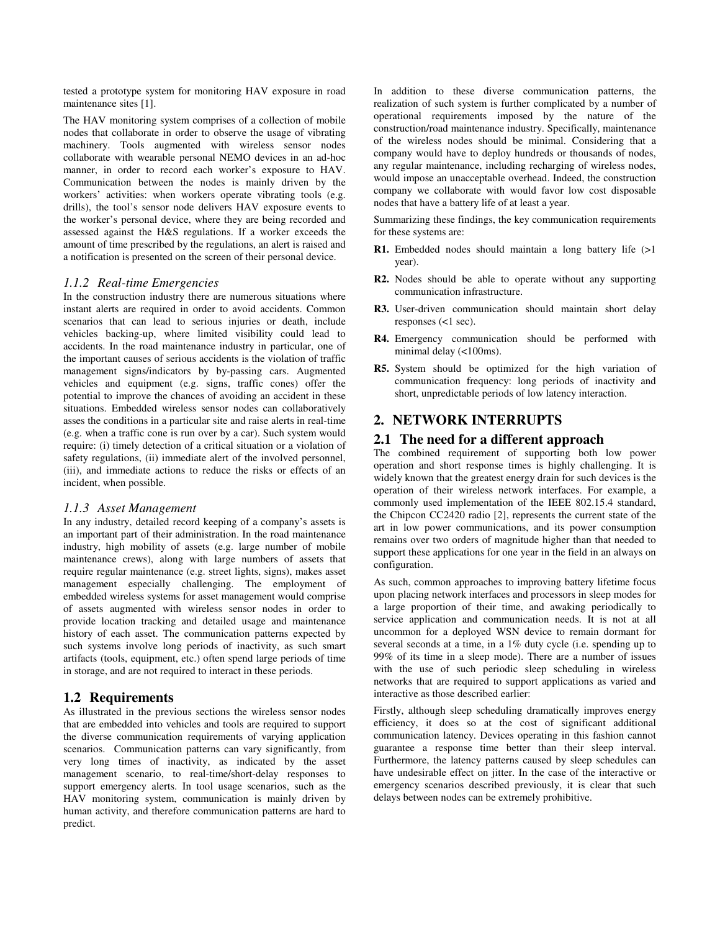tested a prototype system for monitoring HAV exposure in road maintenance sites [1].

The HAV monitoring system comprises of a collection of mobile nodes that collaborate in order to observe the usage of vibrating machinery. Tools augmented with wireless sensor nodes collaborate with wearable personal NEMO devices in an ad-hoc manner, in order to record each worker's exposure to HAV. Communication between the nodes is mainly driven by the workers' activities: when workers operate vibrating tools (e.g. drills), the tool's sensor node delivers HAV exposure events to the worker's personal device, where they are being recorded and assessed against the H&S regulations. If a worker exceeds the amount of time prescribed by the regulations, an alert is raised and a notification is presented on the screen of their personal device.

#### *1.1.2 Real-time Emergencies*

In the construction industry there are numerous situations where instant alerts are required in order to avoid accidents. Common scenarios that can lead to serious injuries or death, include vehicles backing-up, where limited visibility could lead to accidents. In the road maintenance industry in particular, one of the important causes of serious accidents is the violation of traffic management signs/indicators by by-passing cars. Augmented vehicles and equipment (e.g. signs, traffic cones) offer the potential to improve the chances of avoiding an accident in these situations. Embedded wireless sensor nodes can collaboratively asses the conditions in a particular site and raise alerts in real-time (e.g. when a traffic cone is run over by a car). Such system would require: (i) timely detection of a critical situation or a violation of safety regulations, (ii) immediate alert of the involved personnel, (iii), and immediate actions to reduce the risks or effects of an incident, when possible.

#### *1.1.3 Asset Management*

In any industry, detailed record keeping of a company's assets is an important part of their administration. In the road maintenance industry, high mobility of assets (e.g. large number of mobile maintenance crews), along with large numbers of assets that require regular maintenance (e.g. street lights, signs), makes asset management especially challenging. The employment of embedded wireless systems for asset management would comprise of assets augmented with wireless sensor nodes in order to provide location tracking and detailed usage and maintenance history of each asset. The communication patterns expected by such systems involve long periods of inactivity, as such smart artifacts (tools, equipment, etc.) often spend large periods of time in storage, and are not required to interact in these periods.

## **1.2 Requirements**

As illustrated in the previous sections the wireless sensor nodes that are embedded into vehicles and tools are required to support the diverse communication requirements of varying application scenarios. Communication patterns can vary significantly, from very long times of inactivity, as indicated by the asset management scenario, to real-time/short-delay responses to support emergency alerts. In tool usage scenarios, such as the HAV monitoring system, communication is mainly driven by human activity, and therefore communication patterns are hard to predict.

In addition to these diverse communication patterns, the realization of such system is further complicated by a number of operational requirements imposed by the nature of the construction/road maintenance industry. Specifically, maintenance of the wireless nodes should be minimal. Considering that a company would have to deploy hundreds or thousands of nodes, any regular maintenance, including recharging of wireless nodes, would impose an unacceptable overhead. Indeed, the construction company we collaborate with would favor low cost disposable nodes that have a battery life of at least a year.

Summarizing these findings, the key communication requirements for these systems are:

- **R1.** Embedded nodes should maintain a long battery life (>1) year).
- **R2.** Nodes should be able to operate without any supporting communication infrastructure.
- **R3.** User-driven communication should maintain short delay responses (<1 sec).
- **R4.** Emergency communication should be performed with minimal delay (<100ms).
- **R5.** System should be optimized for the high variation of communication frequency: long periods of inactivity and short, unpredictable periods of low latency interaction.

## **2. NETWORK INTERRUPTS**

## **2.1 The need for a different approach**

The combined requirement of supporting both low power operation and short response times is highly challenging. It is widely known that the greatest energy drain for such devices is the operation of their wireless network interfaces. For example, a commonly used implementation of the IEEE 802.15.4 standard, the Chipcon CC2420 radio [2], represents the current state of the art in low power communications, and its power consumption remains over two orders of magnitude higher than that needed to support these applications for one year in the field in an always on configuration.

As such, common approaches to improving battery lifetime focus upon placing network interfaces and processors in sleep modes for a large proportion of their time, and awaking periodically to service application and communication needs. It is not at all uncommon for a deployed WSN device to remain dormant for several seconds at a time, in a 1% duty cycle (i.e. spending up to 99% of its time in a sleep mode). There are a number of issues with the use of such periodic sleep scheduling in wireless networks that are required to support applications as varied and interactive as those described earlier:

Firstly, although sleep scheduling dramatically improves energy efficiency, it does so at the cost of significant additional communication latency. Devices operating in this fashion cannot guarantee a response time better than their sleep interval. Furthermore, the latency patterns caused by sleep schedules can have undesirable effect on jitter. In the case of the interactive or emergency scenarios described previously, it is clear that such delays between nodes can be extremely prohibitive.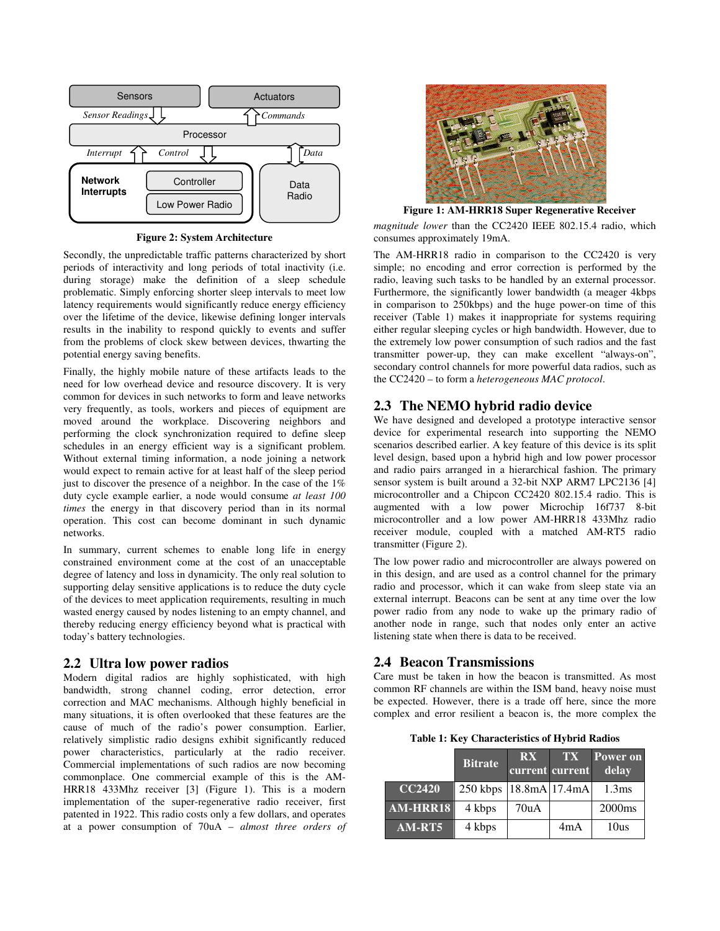

**Figure 2: System Architecture** 

Secondly, the unpredictable traffic patterns characterized by short periods of interactivity and long periods of total inactivity (i.e. during storage) make the definition of a sleep schedule problematic. Simply enforcing shorter sleep intervals to meet low latency requirements would significantly reduce energy efficiency over the lifetime of the device, likewise defining longer intervals results in the inability to respond quickly to events and suffer from the problems of clock skew between devices, thwarting the potential energy saving benefits.

Finally, the highly mobile nature of these artifacts leads to the need for low overhead device and resource discovery. It is very common for devices in such networks to form and leave networks very frequently, as tools, workers and pieces of equipment are moved around the workplace. Discovering neighbors and performing the clock synchronization required to define sleep schedules in an energy efficient way is a significant problem. Without external timing information, a node joining a network would expect to remain active for at least half of the sleep period just to discover the presence of a neighbor. In the case of the 1% duty cycle example earlier, a node would consume *at least 100 times* the energy in that discovery period than in its normal operation. This cost can become dominant in such dynamic networks.

In summary, current schemes to enable long life in energy constrained environment come at the cost of an unacceptable degree of latency and loss in dynamicity. The only real solution to supporting delay sensitive applications is to reduce the duty cycle of the devices to meet application requirements, resulting in much wasted energy caused by nodes listening to an empty channel, and thereby reducing energy efficiency beyond what is practical with today's battery technologies.

## **2.2 Ultra low power radios**

Modern digital radios are highly sophisticated, with high bandwidth, strong channel coding, error detection, error correction and MAC mechanisms. Although highly beneficial in many situations, it is often overlooked that these features are the cause of much of the radio's power consumption. Earlier, relatively simplistic radio designs exhibit significantly reduced power characteristics, particularly at the radio receiver. Commercial implementations of such radios are now becoming commonplace. One commercial example of this is the AM-HRR18 433Mhz receiver [3] (Figure 1). This is a modern implementation of the super-regenerative radio receiver, first patented in 1922. This radio costs only a few dollars, and operates at a power consumption of 70uA – *almost three orders of* 



**Figure 1: AM-HRR18 Super Regenerative Receiver** 

*magnitude lower* than the CC2420 IEEE 802.15.4 radio, which consumes approximately 19mA.

The AM-HRR18 radio in comparison to the CC2420 is very simple; no encoding and error correction is performed by the radio, leaving such tasks to be handled by an external processor. Furthermore, the significantly lower bandwidth (a meager 4kbps in comparison to 250kbps) and the huge power-on time of this receiver (Table 1) makes it inappropriate for systems requiring either regular sleeping cycles or high bandwidth. However, due to the extremely low power consumption of such radios and the fast transmitter power-up, they can make excellent "always-on", secondary control channels for more powerful data radios, such as the CC2420 – to form a *heterogeneous MAC protocol*.

#### **2.3 The NEMO hybrid radio device**

We have designed and developed a prototype interactive sensor device for experimental research into supporting the NEMO scenarios described earlier. A key feature of this device is its split level design, based upon a hybrid high and low power processor and radio pairs arranged in a hierarchical fashion. The primary sensor system is built around a 32-bit NXP ARM7 LPC2136 [4] microcontroller and a Chipcon CC2420 802.15.4 radio. This is augmented with a low power Microchip 16f737 8-bit microcontroller and a low power AM-HRR18 433Mhz radio receiver module, coupled with a matched AM-RT5 radio transmitter (Figure 2).

The low power radio and microcontroller are always powered on in this design, and are used as a control channel for the primary radio and processor, which it can wake from sleep state via an external interrupt. Beacons can be sent at any time over the low power radio from any node to wake up the primary radio of another node in range, such that nodes only enter an active listening state when there is data to be received.

#### **2.4 Beacon Transmissions**

Care must be taken in how the beacon is transmitted. As most common RF channels are within the ISM band, heavy noise must be expected. However, there is a trade off here, since the more complex and error resilient a beacon is, the more complex the

**Table 1: Key Characteristics of Hybrid Radios**

|                 | <b>Bitrate</b>             | <b>RX</b><br>current current | <b>TX</b> | Power on<br>delay  |
|-----------------|----------------------------|------------------------------|-----------|--------------------|
| <b>CC2420</b>   | 250 kbps   18.8mA   17.4mA |                              |           | 1.3 <sub>ms</sub>  |
| <b>AM-HRR18</b> | 4 kbps                     | 70uA                         |           | 2000 <sub>ms</sub> |
| $AM-RT5$        | 4 kbps                     |                              | 4mA       | 10us               |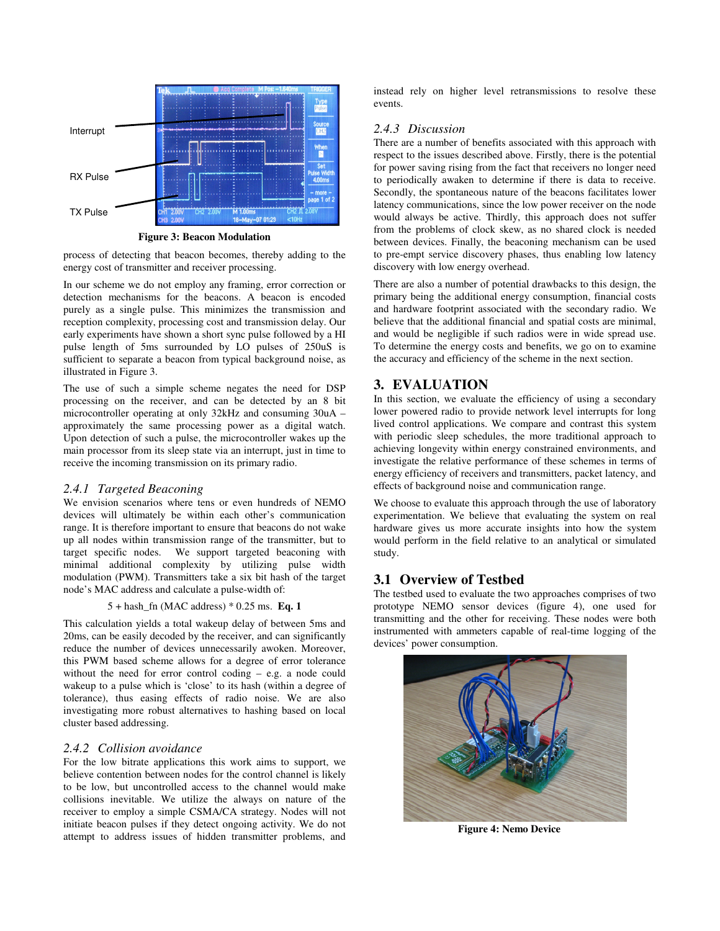

**Figure 3: Beacon Modulation** 

process of detecting that beacon becomes, thereby adding to the energy cost of transmitter and receiver processing.

In our scheme we do not employ any framing, error correction or detection mechanisms for the beacons. A beacon is encoded purely as a single pulse. This minimizes the transmission and reception complexity, processing cost and transmission delay. Our early experiments have shown a short sync pulse followed by a HI pulse length of 5ms surrounded by LO pulses of 250uS is sufficient to separate a beacon from typical background noise, as illustrated in Figure 3.

The use of such a simple scheme negates the need for DSP processing on the receiver, and can be detected by an 8 bit microcontroller operating at only 32kHz and consuming 30uA – approximately the same processing power as a digital watch. Upon detection of such a pulse, the microcontroller wakes up the main processor from its sleep state via an interrupt, just in time to receive the incoming transmission on its primary radio.

#### *2.4.1 Targeted Beaconing*

We envision scenarios where tens or even hundreds of NEMO devices will ultimately be within each other's communication range. It is therefore important to ensure that beacons do not wake up all nodes within transmission range of the transmitter, but to target specific nodes. We support targeted beaconing with minimal additional complexity by utilizing pulse width modulation (PWM). Transmitters take a six bit hash of the target node's MAC address and calculate a pulse-width of:

#### 5 + hash\_fn (MAC address) \* 0.25 ms. **Eq. 1**

This calculation yields a total wakeup delay of between 5ms and 20ms, can be easily decoded by the receiver, and can significantly reduce the number of devices unnecessarily awoken. Moreover, this PWM based scheme allows for a degree of error tolerance without the need for error control coding – e.g. a node could wakeup to a pulse which is 'close' to its hash (within a degree of tolerance), thus easing effects of radio noise. We are also investigating more robust alternatives to hashing based on local cluster based addressing.

#### *2.4.2 Collision avoidance*

For the low bitrate applications this work aims to support, we believe contention between nodes for the control channel is likely to be low, but uncontrolled access to the channel would make collisions inevitable. We utilize the always on nature of the receiver to employ a simple CSMA/CA strategy. Nodes will not initiate beacon pulses if they detect ongoing activity. We do not attempt to address issues of hidden transmitter problems, and instead rely on higher level retransmissions to resolve these events.

## *2.4.3 Discussion*

There are a number of benefits associated with this approach with respect to the issues described above. Firstly, there is the potential for power saving rising from the fact that receivers no longer need to periodically awaken to determine if there is data to receive. Secondly, the spontaneous nature of the beacons facilitates lower latency communications, since the low power receiver on the node would always be active. Thirdly, this approach does not suffer from the problems of clock skew, as no shared clock is needed between devices. Finally, the beaconing mechanism can be used to pre-empt service discovery phases, thus enabling low latency discovery with low energy overhead.

There are also a number of potential drawbacks to this design, the primary being the additional energy consumption, financial costs and hardware footprint associated with the secondary radio. We believe that the additional financial and spatial costs are minimal, and would be negligible if such radios were in wide spread use. To determine the energy costs and benefits, we go on to examine the accuracy and efficiency of the scheme in the next section.

## **3. EVALUATION**

In this section, we evaluate the efficiency of using a secondary lower powered radio to provide network level interrupts for long lived control applications. We compare and contrast this system with periodic sleep schedules, the more traditional approach to achieving longevity within energy constrained environments, and investigate the relative performance of these schemes in terms of energy efficiency of receivers and transmitters, packet latency, and effects of background noise and communication range.

We choose to evaluate this approach through the use of laboratory experimentation. We believe that evaluating the system on real hardware gives us more accurate insights into how the system would perform in the field relative to an analytical or simulated study.

#### **3.1 Overview of Testbed**

The testbed used to evaluate the two approaches comprises of two prototype NEMO sensor devices (figure 4), one used for transmitting and the other for receiving. These nodes were both instrumented with ammeters capable of real-time logging of the devices' power consumption.



**Figure 4: Nemo Device**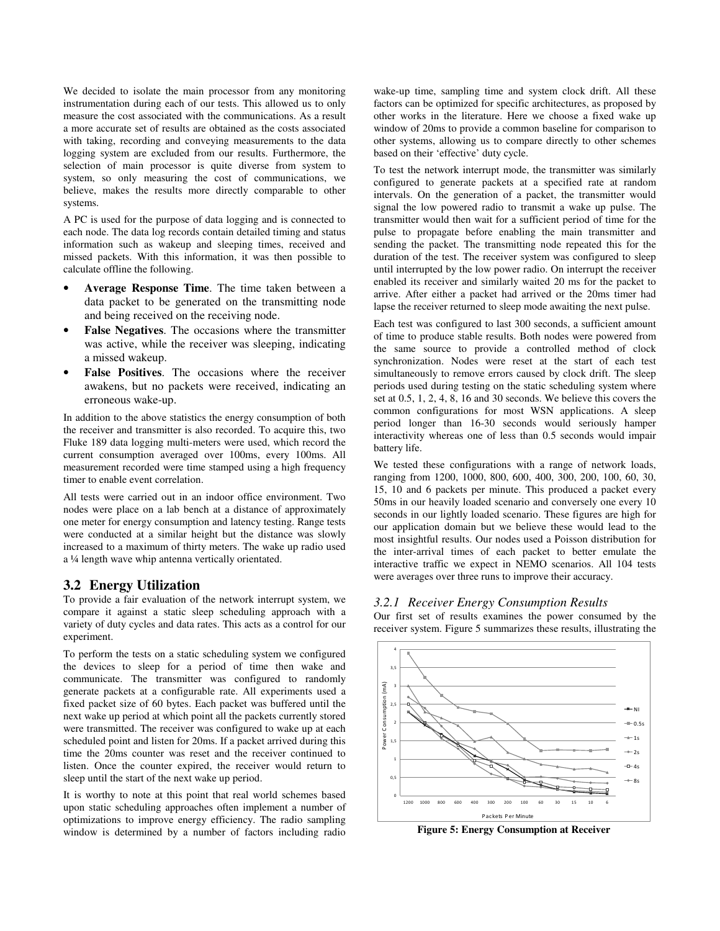We decided to isolate the main processor from any monitoring instrumentation during each of our tests. This allowed us to only measure the cost associated with the communications. As a result a more accurate set of results are obtained as the costs associated with taking, recording and conveying measurements to the data logging system are excluded from our results. Furthermore, the selection of main processor is quite diverse from system to system, so only measuring the cost of communications, we believe, makes the results more directly comparable to other systems.

A PC is used for the purpose of data logging and is connected to each node. The data log records contain detailed timing and status information such as wakeup and sleeping times, received and missed packets. With this information, it was then possible to calculate offline the following.

- **Average Response Time**. The time taken between a data packet to be generated on the transmitting node and being received on the receiving node.
- **False Negatives**. The occasions where the transmitter was active, while the receiver was sleeping, indicating a missed wakeup.
- False Positives. The occasions where the receiver awakens, but no packets were received, indicating an erroneous wake-up.

In addition to the above statistics the energy consumption of both the receiver and transmitter is also recorded. To acquire this, two Fluke 189 data logging multi-meters were used, which record the current consumption averaged over 100ms, every 100ms. All measurement recorded were time stamped using a high frequency timer to enable event correlation.

All tests were carried out in an indoor office environment. Two nodes were place on a lab bench at a distance of approximately one meter for energy consumption and latency testing. Range tests were conducted at a similar height but the distance was slowly increased to a maximum of thirty meters. The wake up radio used a ¼ length wave whip antenna vertically orientated.

## **3.2 Energy Utilization**

To provide a fair evaluation of the network interrupt system, we compare it against a static sleep scheduling approach with a variety of duty cycles and data rates. This acts as a control for our experiment.

To perform the tests on a static scheduling system we configured the devices to sleep for a period of time then wake and communicate. The transmitter was configured to randomly generate packets at a configurable rate. All experiments used a fixed packet size of 60 bytes. Each packet was buffered until the next wake up period at which point all the packets currently stored were transmitted. The receiver was configured to wake up at each scheduled point and listen for 20ms. If a packet arrived during this time the 20ms counter was reset and the receiver continued to listen. Once the counter expired, the receiver would return to sleep until the start of the next wake up period.

It is worthy to note at this point that real world schemes based upon static scheduling approaches often implement a number of optimizations to improve energy efficiency. The radio sampling window is determined by a number of factors including radio

wake-up time, sampling time and system clock drift. All these factors can be optimized for specific architectures, as proposed by other works in the literature. Here we choose a fixed wake up window of 20ms to provide a common baseline for comparison to other systems, allowing us to compare directly to other schemes based on their 'effective' duty cycle.

To test the network interrupt mode, the transmitter was similarly configured to generate packets at a specified rate at random intervals. On the generation of a packet, the transmitter would signal the low powered radio to transmit a wake up pulse. The transmitter would then wait for a sufficient period of time for the pulse to propagate before enabling the main transmitter and sending the packet. The transmitting node repeated this for the duration of the test. The receiver system was configured to sleep until interrupted by the low power radio. On interrupt the receiver enabled its receiver and similarly waited 20 ms for the packet to arrive. After either a packet had arrived or the 20ms timer had lapse the receiver returned to sleep mode awaiting the next pulse.

Each test was configured to last 300 seconds, a sufficient amount of time to produce stable results. Both nodes were powered from the same source to provide a controlled method of clock synchronization. Nodes were reset at the start of each test simultaneously to remove errors caused by clock drift. The sleep periods used during testing on the static scheduling system where set at 0.5, 1, 2, 4, 8, 16 and 30 seconds. We believe this covers the common configurations for most WSN applications. A sleep period longer than 16-30 seconds would seriously hamper interactivity whereas one of less than 0.5 seconds would impair battery life.

We tested these configurations with a range of network loads, ranging from 1200, 1000, 800, 600, 400, 300, 200, 100, 60, 30, 15, 10 and 6 packets per minute. This produced a packet every 50ms in our heavily loaded scenario and conversely one every 10 seconds in our lightly loaded scenario. These figures are high for our application domain but we believe these would lead to the most insightful results. Our nodes used a Poisson distribution for the inter-arrival times of each packet to better emulate the interactive traffic we expect in NEMO scenarios. All 104 tests were averages over three runs to improve their accuracy.

#### *3.2.1 Receiver Energy Consumption Results*

Our first set of results examines the power consumed by the receiver system. Figure 5 summarizes these results, illustrating the



**Figure 5: Energy Consumption at Receiver**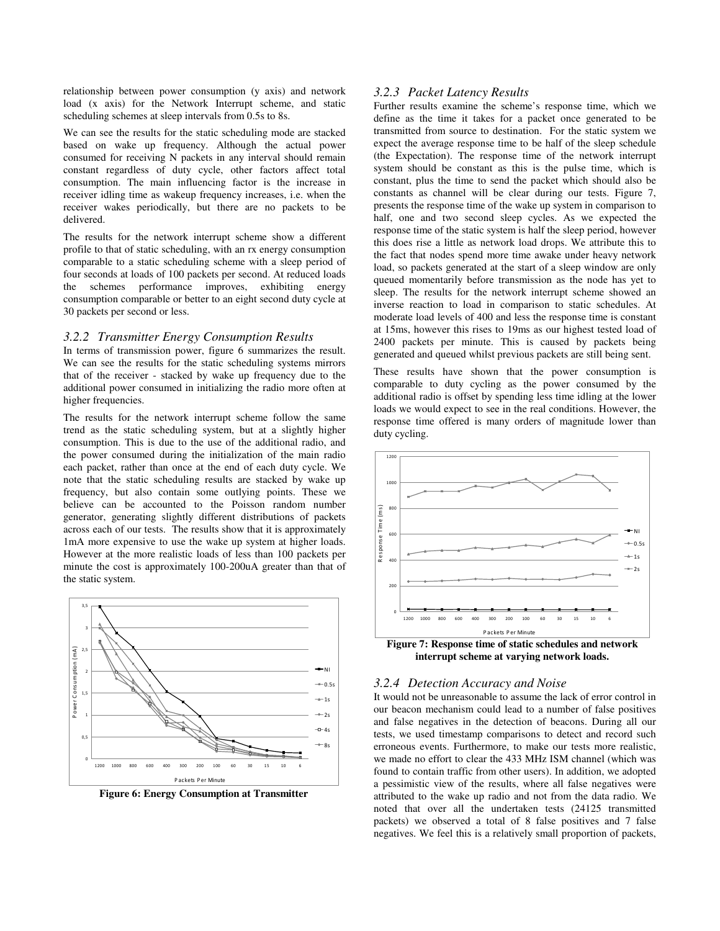relationship between power consumption (y axis) and network load (x axis) for the Network Interrupt scheme, and static scheduling schemes at sleep intervals from 0.5s to 8s.

We can see the results for the static scheduling mode are stacked based on wake up frequency. Although the actual power consumed for receiving N packets in any interval should remain constant regardless of duty cycle, other factors affect total consumption. The main influencing factor is the increase in receiver idling time as wakeup frequency increases, i.e. when the receiver wakes periodically, but there are no packets to be delivered.

The results for the network interrupt scheme show a different profile to that of static scheduling, with an rx energy consumption comparable to a static scheduling scheme with a sleep period of four seconds at loads of 100 packets per second. At reduced loads the schemes performance improves, exhibiting energy consumption comparable or better to an eight second duty cycle at 30 packets per second or less.

#### *3.2.2 Transmitter Energy Consumption Results*

In terms of transmission power, figure 6 summarizes the result. We can see the results for the static scheduling systems mirrors that of the receiver - stacked by wake up frequency due to the additional power consumed in initializing the radio more often at higher frequencies.

The results for the network interrupt scheme follow the same trend as the static scheduling system, but at a slightly higher consumption. This is due to the use of the additional radio, and the power consumed during the initialization of the main radio each packet, rather than once at the end of each duty cycle. We note that the static scheduling results are stacked by wake up frequency, but also contain some outlying points. These we believe can be accounted to the Poisson random number generator, generating slightly different distributions of packets across each of our tests. The results show that it is approximately 1mA more expensive to use the wake up system at higher loads. However at the more realistic loads of less than 100 packets per minute the cost is approximately 100-200uA greater than that of the static system.



**Figure 6: Energy Consumption at Transmitter** 

### *3.2.3 Packet Latency Results*

Further results examine the scheme's response time, which we define as the time it takes for a packet once generated to be transmitted from source to destination. For the static system we expect the average response time to be half of the sleep schedule (the Expectation). The response time of the network interrupt system should be constant as this is the pulse time, which is constant, plus the time to send the packet which should also be constants as channel will be clear during our tests. Figure 7, presents the response time of the wake up system in comparison to half, one and two second sleep cycles. As we expected the response time of the static system is half the sleep period, however this does rise a little as network load drops. We attribute this to the fact that nodes spend more time awake under heavy network load, so packets generated at the start of a sleep window are only queued momentarily before transmission as the node has yet to sleep. The results for the network interrupt scheme showed an inverse reaction to load in comparison to static schedules. At moderate load levels of 400 and less the response time is constant at 15ms, however this rises to 19ms as our highest tested load of 2400 packets per minute. This is caused by packets being generated and queued whilst previous packets are still being sent.

These results have shown that the power consumption is comparable to duty cycling as the power consumed by the additional radio is offset by spending less time idling at the lower loads we would expect to see in the real conditions. However, the response time offered is many orders of magnitude lower than duty cycling.



**interrupt scheme at varying network loads.** 

#### *3.2.4 Detection Accuracy and Noise*

It would not be unreasonable to assume the lack of error control in our beacon mechanism could lead to a number of false positives and false negatives in the detection of beacons. During all our tests, we used timestamp comparisons to detect and record such erroneous events. Furthermore, to make our tests more realistic, we made no effort to clear the 433 MHz ISM channel (which was found to contain traffic from other users). In addition, we adopted a pessimistic view of the results, where all false negatives were attributed to the wake up radio and not from the data radio. We noted that over all the undertaken tests (24125 transmitted packets) we observed a total of 8 false positives and 7 false negatives. We feel this is a relatively small proportion of packets,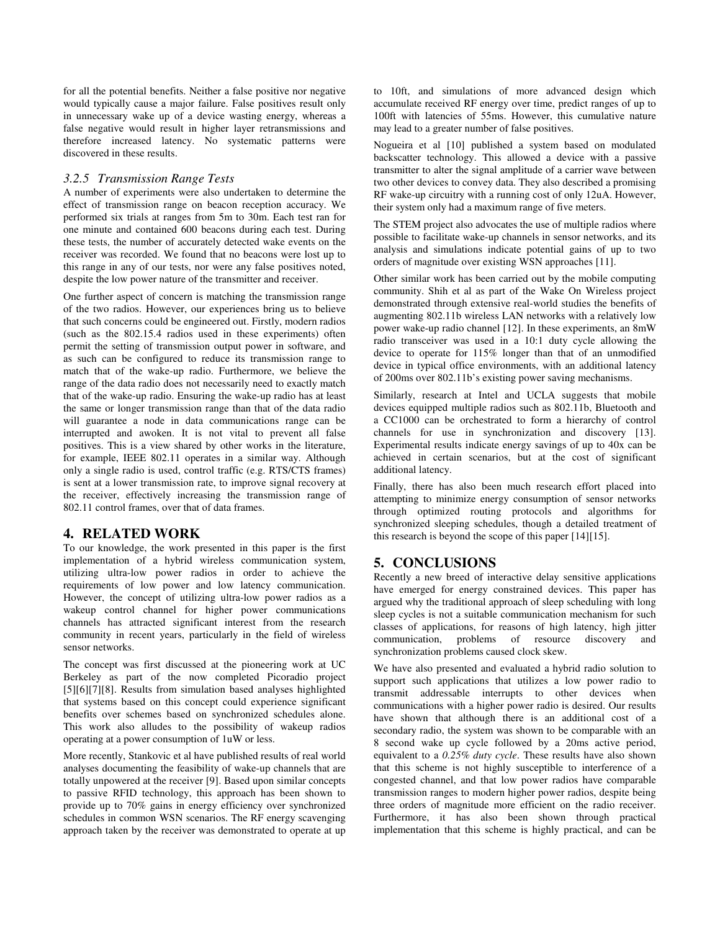for all the potential benefits. Neither a false positive nor negative would typically cause a major failure. False positives result only in unnecessary wake up of a device wasting energy, whereas a false negative would result in higher layer retransmissions and therefore increased latency. No systematic patterns were discovered in these results.

#### *3.2.5 Transmission Range Tests*

A number of experiments were also undertaken to determine the effect of transmission range on beacon reception accuracy. We performed six trials at ranges from 5m to 30m. Each test ran for one minute and contained 600 beacons during each test. During these tests, the number of accurately detected wake events on the receiver was recorded. We found that no beacons were lost up to this range in any of our tests, nor were any false positives noted, despite the low power nature of the transmitter and receiver.

One further aspect of concern is matching the transmission range of the two radios. However, our experiences bring us to believe that such concerns could be engineered out. Firstly, modern radios (such as the 802.15.4 radios used in these experiments) often permit the setting of transmission output power in software, and as such can be configured to reduce its transmission range to match that of the wake-up radio. Furthermore, we believe the range of the data radio does not necessarily need to exactly match that of the wake-up radio. Ensuring the wake-up radio has at least the same or longer transmission range than that of the data radio will guarantee a node in data communications range can be interrupted and awoken. It is not vital to prevent all false positives. This is a view shared by other works in the literature, for example, IEEE 802.11 operates in a similar way. Although only a single radio is used, control traffic (e.g. RTS/CTS frames) is sent at a lower transmission rate, to improve signal recovery at the receiver, effectively increasing the transmission range of 802.11 control frames, over that of data frames.

## **4. RELATED WORK**

To our knowledge, the work presented in this paper is the first implementation of a hybrid wireless communication system, utilizing ultra-low power radios in order to achieve the requirements of low power and low latency communication. However, the concept of utilizing ultra-low power radios as a wakeup control channel for higher power communications channels has attracted significant interest from the research community in recent years, particularly in the field of wireless sensor networks.

The concept was first discussed at the pioneering work at UC Berkeley as part of the now completed Picoradio project [5][6][7][8]. Results from simulation based analyses highlighted that systems based on this concept could experience significant benefits over schemes based on synchronized schedules alone. This work also alludes to the possibility of wakeup radios operating at a power consumption of 1uW or less.

More recently, Stankovic et al have published results of real world analyses documenting the feasibility of wake-up channels that are totally unpowered at the receiver [9]. Based upon similar concepts to passive RFID technology, this approach has been shown to provide up to 70% gains in energy efficiency over synchronized schedules in common WSN scenarios. The RF energy scavenging approach taken by the receiver was demonstrated to operate at up to 10ft, and simulations of more advanced design which accumulate received RF energy over time, predict ranges of up to 100ft with latencies of 55ms. However, this cumulative nature may lead to a greater number of false positives.

Nogueira et al [10] published a system based on modulated backscatter technology. This allowed a device with a passive transmitter to alter the signal amplitude of a carrier wave between two other devices to convey data. They also described a promising RF wake-up circuitry with a running cost of only 12uA. However, their system only had a maximum range of five meters.

The STEM project also advocates the use of multiple radios where possible to facilitate wake-up channels in sensor networks, and its analysis and simulations indicate potential gains of up to two orders of magnitude over existing WSN approaches [11].

Other similar work has been carried out by the mobile computing community. Shih et al as part of the Wake On Wireless project demonstrated through extensive real-world studies the benefits of augmenting 802.11b wireless LAN networks with a relatively low power wake-up radio channel [12]. In these experiments, an 8mW radio transceiver was used in a 10:1 duty cycle allowing the device to operate for 115% longer than that of an unmodified device in typical office environments, with an additional latency of 200ms over 802.11b's existing power saving mechanisms.

Similarly, research at Intel and UCLA suggests that mobile devices equipped multiple radios such as 802.11b, Bluetooth and a CC1000 can be orchestrated to form a hierarchy of control channels for use in synchronization and discovery [13]. Experimental results indicate energy savings of up to 40x can be achieved in certain scenarios, but at the cost of significant additional latency.

Finally, there has also been much research effort placed into attempting to minimize energy consumption of sensor networks through optimized routing protocols and algorithms for synchronized sleeping schedules, though a detailed treatment of this research is beyond the scope of this paper [14][15].

# **5. CONCLUSIONS**

Recently a new breed of interactive delay sensitive applications have emerged for energy constrained devices. This paper has argued why the traditional approach of sleep scheduling with long sleep cycles is not a suitable communication mechanism for such classes of applications, for reasons of high latency, high jitter communication, problems of resource discovery and synchronization problems caused clock skew.

We have also presented and evaluated a hybrid radio solution to support such applications that utilizes a low power radio to transmit addressable interrupts to other devices when communications with a higher power radio is desired. Our results have shown that although there is an additional cost of a secondary radio, the system was shown to be comparable with an 8 second wake up cycle followed by a 20ms active period, equivalent to a *0.25% duty cycle*. These results have also shown that this scheme is not highly susceptible to interference of a congested channel, and that low power radios have comparable transmission ranges to modern higher power radios, despite being three orders of magnitude more efficient on the radio receiver. Furthermore, it has also been shown through practical implementation that this scheme is highly practical, and can be